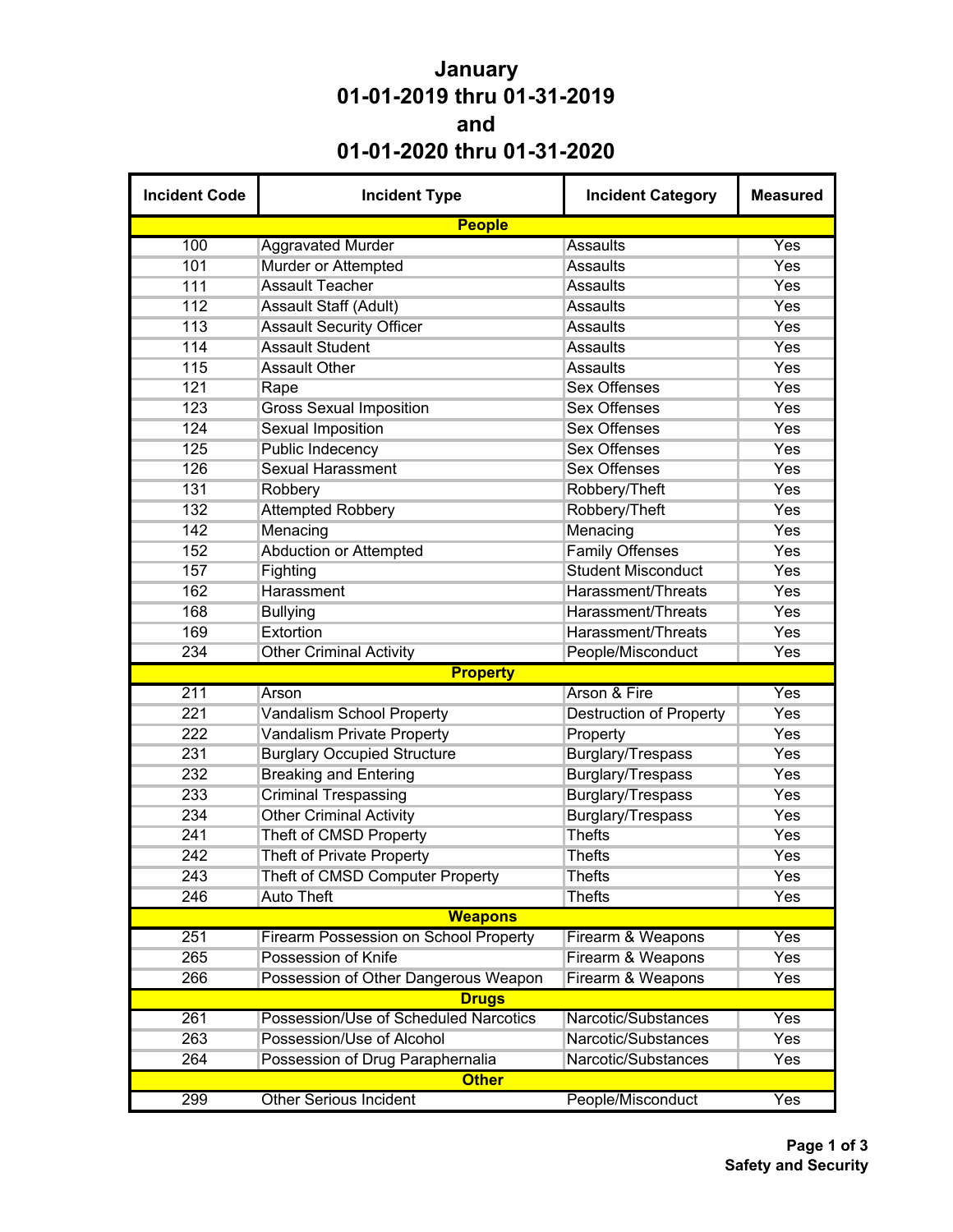## **January 01-01-2019 thru 01-31-2019 and 01-01-2020 thru 01-31-2020**

| <b>Incident Code</b> | <b>Incident Type</b>                         | <b>Incident Category</b>       | <b>Measured</b> |  |  |
|----------------------|----------------------------------------------|--------------------------------|-----------------|--|--|
|                      | <b>People</b>                                |                                |                 |  |  |
| 100                  | <b>Aggravated Murder</b>                     | <b>Assaults</b>                | Yes             |  |  |
| 101                  | Murder or Attempted                          | <b>Assaults</b>                | Yes             |  |  |
| 111                  | <b>Assault Teacher</b>                       | <b>Assaults</b>                | Yes             |  |  |
| 112                  | Assault Staff (Adult)                        | <b>Assaults</b>                | Yes             |  |  |
| 113                  | <b>Assault Security Officer</b>              | <b>Assaults</b>                | Yes             |  |  |
| 114                  | <b>Assault Student</b>                       | <b>Assaults</b>                | Yes             |  |  |
| 115                  | <b>Assault Other</b>                         | <b>Assaults</b>                | Yes             |  |  |
| 121                  | Rape                                         | <b>Sex Offenses</b>            | Yes             |  |  |
| 123                  | <b>Gross Sexual Imposition</b>               | <b>Sex Offenses</b>            | Yes             |  |  |
| 124                  | <b>Sexual Imposition</b>                     | <b>Sex Offenses</b>            | Yes             |  |  |
| 125                  | Public Indecency                             | <b>Sex Offenses</b>            | Yes             |  |  |
| 126                  | <b>Sexual Harassment</b>                     | <b>Sex Offenses</b>            | Yes             |  |  |
| 131                  | Robbery                                      | Robbery/Theft                  | Yes             |  |  |
| 132                  | <b>Attempted Robbery</b>                     | Robbery/Theft                  | Yes             |  |  |
| 142                  | Menacing                                     | Menacing                       | Yes             |  |  |
| 152                  | <b>Abduction or Attempted</b>                | <b>Family Offenses</b>         | Yes             |  |  |
| 157                  | Fighting                                     | <b>Student Misconduct</b>      | Yes             |  |  |
| 162                  | Harassment                                   | Harassment/Threats             | Yes             |  |  |
| 168                  | <b>Bullying</b>                              | Harassment/Threats             | Yes             |  |  |
| 169                  | Extortion                                    | Harassment/Threats             | Yes             |  |  |
| 234                  | <b>Other Criminal Activity</b>               | People/Misconduct              | Yes             |  |  |
|                      | <b>Property</b>                              |                                |                 |  |  |
| 211                  | Arson                                        | Arson & Fire                   | Yes             |  |  |
| 221                  | <b>Vandalism School Property</b>             | <b>Destruction of Property</b> | Yes             |  |  |
| 222                  | <b>Vandalism Private Property</b>            | Property                       | Yes             |  |  |
| 231                  | <b>Burglary Occupied Structure</b>           | Burglary/Trespass              | Yes             |  |  |
| 232                  | <b>Breaking and Entering</b>                 | Burglary/Trespass              | Yes             |  |  |
| 233                  | <b>Criminal Trespassing</b>                  | <b>Burglary/Trespass</b>       | Yes             |  |  |
| 234                  | <b>Other Criminal Activity</b>               | Burglary/Trespass              | Yes             |  |  |
| 241                  | Theft of CMSD Property                       | <b>Thefts</b>                  | Yes             |  |  |
| 242                  | Theft of Private Property                    | <b>Thefts</b>                  | Yes             |  |  |
| 243                  | Theft of CMSD Computer Property              | Thefts                         | Yes             |  |  |
| 246                  | <b>Auto Theft</b>                            | <b>Thefts</b>                  | Yes             |  |  |
|                      | <b>Weapons</b>                               |                                |                 |  |  |
| 251                  | <b>Firearm Possession on School Property</b> | Firearm & Weapons              | Yes             |  |  |
| 265                  | Possession of Knife                          | Firearm & Weapons              | Yes             |  |  |
| 266                  | Possession of Other Dangerous Weapon         | Firearm & Weapons              | Yes             |  |  |
|                      | <b>Drugs</b>                                 |                                |                 |  |  |
| 261                  | Possession/Use of Scheduled Narcotics        | Narcotic/Substances            | Yes             |  |  |
| 263                  | Possession/Use of Alcohol                    | Narcotic/Substances            | Yes             |  |  |
| 264                  | Possession of Drug Paraphernalia             | Narcotic/Substances            | Yes             |  |  |
|                      | <b>Other</b>                                 |                                |                 |  |  |
| 299                  | <b>Other Serious Incident</b>                | People/Misconduct              | Yes             |  |  |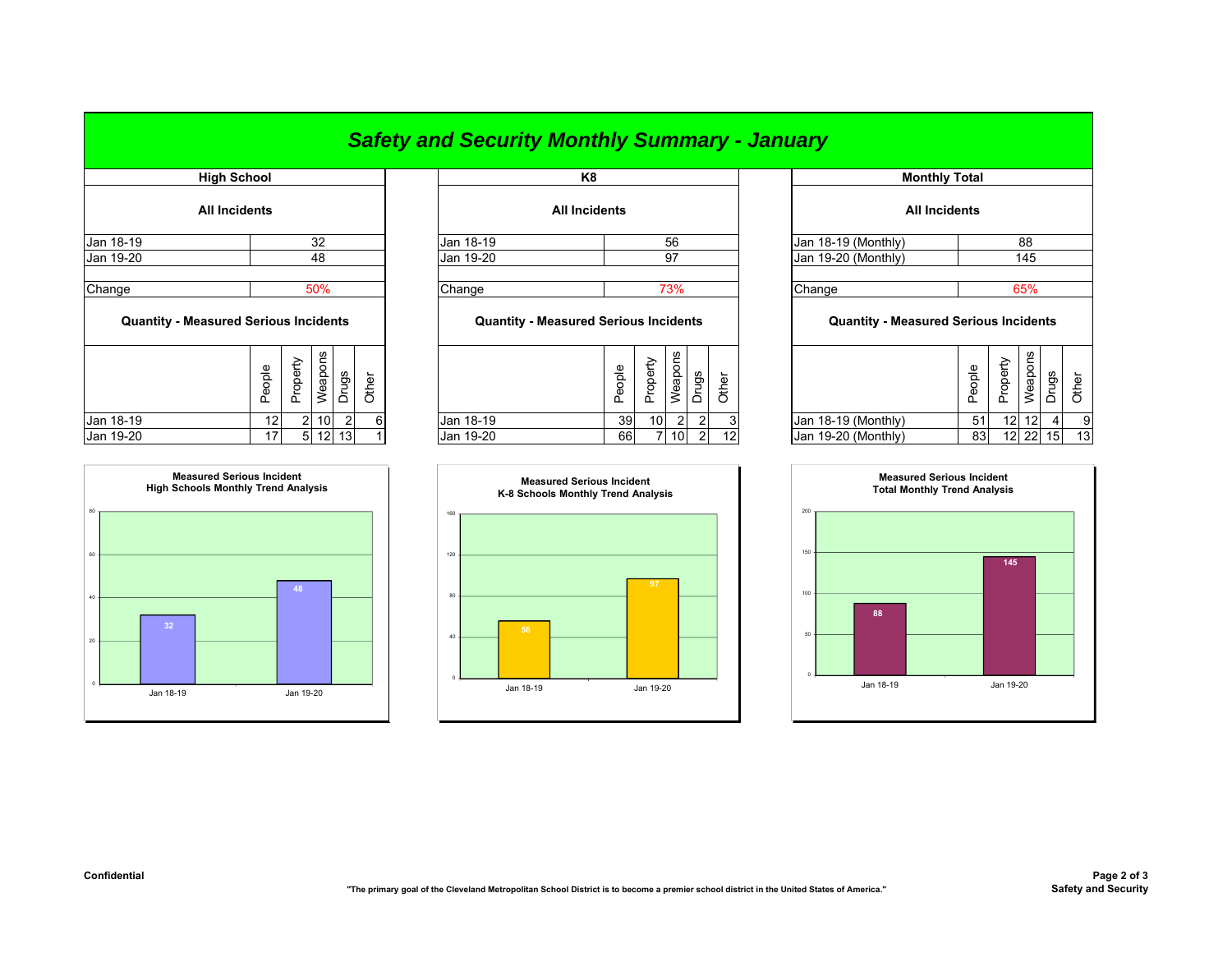## *Safety and Security Monthly Summary - January*

|                                              | <b>High School</b>   |          |                  |                |       |                                              | K <sub>8</sub>       |            |                 |                |       |                 |  |          |
|----------------------------------------------|----------------------|----------|------------------|----------------|-------|----------------------------------------------|----------------------|------------|-----------------|----------------|-------|-----------------|--|----------|
|                                              | <b>All Incidents</b> |          |                  |                |       |                                              | <b>All Incidents</b> |            |                 |                |       |                 |  |          |
| Jan 18-19                                    |                      |          | 32               |                |       | Jan 18-19                                    |                      |            |                 | 56             |       |                 |  | Jan 18-  |
| 48<br>Jan 19-20                              |                      |          |                  | Jan 19-20      |       |                                              |                      | 97         |                 |                |       | Jan 19-         |  |          |
| Change<br>50%                                |                      |          |                  |                |       | Change                                       | 73%                  |            |                 |                |       |                 |  | Change   |
| <b>Quantity - Measured Serious Incidents</b> |                      |          |                  |                |       | <b>Quantity - Measured Serious Incidents</b> |                      |            |                 |                |       |                 |  | C        |
|                                              | People               | Property | Weapons          | Drugs          | Other |                                              |                      | People     | Property        | Weapons        | Drugs | Other           |  |          |
| Jan 18-19                                    | 12                   |          | $2 \mid 10 \mid$ | $\overline{2}$ | 6     | Jan 18-19                                    |                      | 39         | 10 <sup>1</sup> | $\overline{2}$ | 2     | 3               |  | Jan 18-  |
| $\ln 40.20$                                  | 17 <sup>1</sup>      | гI.      |                  | 1211           |       | ln n 10.20                                   |                      | <b>GRI</b> |                 | 7110           | ി     | 12 <sub>1</sub> |  | $\ln 40$ |



| <b>HIYII ƏCIIUUI</b> |                 |            | rνσ                  |                     |
|----------------------|-----------------|------------|----------------------|---------------------|
| <b>All Incidents</b> |                 |            | <b>All Incidents</b> |                     |
| Jan 18-19            |                 | Jan 18-19  | 56                   | Jan 18-19 (Monthly) |
| Jan 19-20            | 48              | Jan 19-20  | 97                   | Jan 19-20 (Monthly) |
| Chana                | EO <sub>0</sub> | $n_{hana}$ | 7204                 | C <sub>hanaa</sub>  |

## **Quantity - Measured Serious Incidents Quantity - Measured Serious Incidents Quantity - Measured Serious Incidents**

| ဖ<br>gs<br>۽<br>∸<br>n<br>ᄔ<br>ட<br>╰<br>-                      |    | ൕ<br>≂<br>௨<br>ω<br>┶ | ᅭ<br>௨ |    | v.<br><u>_</u><br>Φ<br>ರಾ<br>◡<br>– |                 |                     | ople<br>Φ<br>௨ | ╭<br>.<br>৯<br>ݡ<br>$\cup$<br>ᄔ | ഗ<br>ਰ<br>Φ<br>⋍ | წე |     |
|-----------------------------------------------------------------|----|-----------------------|--------|----|-------------------------------------|-----------------|---------------------|----------------|---------------------------------|------------------|----|-----|
| Jan 18-19<br>10<br>$\sim$<br>12 I<br>$\sim$                     | 61 | Jan 18-19<br>39       | 10     |    |                                     |                 | Jan 18-19 (Monthly) | 51             |                                 | 12 12            |    |     |
| Jan 19-20<br>13 <sup>1</sup><br>12 <sub>1</sub><br>17<br>$\sim$ |    | Jan 19-20<br>66       |        | 10 | $\sim$                              | 12 <sub>1</sub> | Jan 19-20 (Monthly) | 83             |                                 | 12 22            | 15 | -13 |



| High School              |        |          |         |                 |           | K <sub>8</sub> |                                              |        |                 |                 |                |                     | <b>Monthly Total</b>                         |        |          |         |                 |       |
|--------------------------|--------|----------|---------|-----------------|-----------|----------------|----------------------------------------------|--------|-----------------|-----------------|----------------|---------------------|----------------------------------------------|--------|----------|---------|-----------------|-------|
| All Incidents            |        |          |         |                 |           |                | <b>All Incidents</b>                         |        |                 |                 |                |                     | <b>All Incidents</b>                         |        |          |         |                 |       |
|                          | 32     |          |         |                 | Jan 18-19 |                |                                              |        | 56              |                 |                | Jan 18-19 (Monthly) | 88                                           |        |          |         |                 |       |
|                          | 48     |          |         |                 |           | Jan 19-20      |                                              |        |                 | 97              |                |                     | Jan 19-20 (Monthly)                          |        | 145      |         |                 |       |
|                          |        |          |         |                 |           |                |                                              |        |                 |                 |                |                     |                                              |        |          |         |                 |       |
|                          |        |          | 50%     |                 |           | Change         |                                              |        |                 | 73%             |                |                     | Change                                       |        |          | 65%     |                 |       |
| asured Serious Incidents |        |          |         |                 |           |                | <b>Quantity - Measured Serious Incidents</b> |        |                 |                 |                |                     | <b>Quantity - Measured Serious Incidents</b> |        |          |         |                 |       |
|                          | People | Property | Weapons | Drugs           | Other     |                |                                              | People | Property        | Weapons         | Drugs          | Other               |                                              | People | Property | Weapons | Drugs           | Other |
|                          | 12     |          | 10      | 2               | 6         | Jan 18-19      |                                              | 39     | 10 <sup>1</sup> | $\mathcal{P}$   | $\overline{2}$ | 3                   | Jan 18-19 (Monthly)                          | 51     | 12       | 12      | 4               | 9     |
|                          | 17     | 51       | 12      | 13 <sup>1</sup> |           | Jan 19-20      |                                              | 66     |                 | 10 <sup>1</sup> | $\overline{2}$ | 12                  | Jan 19-20 (Monthly)                          | 83     |          | $12$ 22 | 15 <sup>1</sup> | 13    |